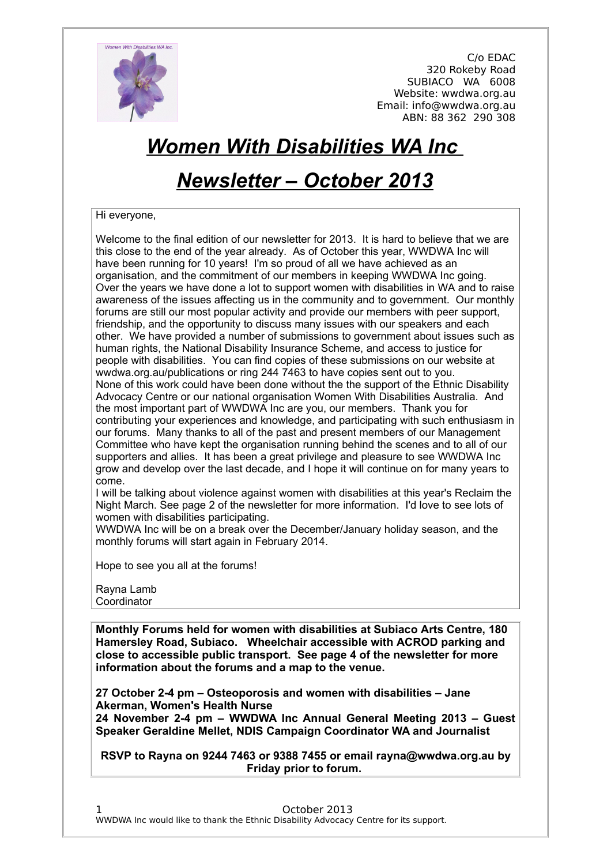

# *Women With Disabilities WA Inc*

## *Newsletter – October 2013*

#### Hi everyone,

Welcome to the final edition of our newsletter for 2013. It is hard to believe that we are this close to the end of the year already. As of October this year, WWDWA Inc will have been running for 10 years! I'm so proud of all we have achieved as an organisation, and the commitment of our members in keeping WWDWA Inc going. Over the years we have done a lot to support women with disabilities in WA and to raise awareness of the issues affecting us in the community and to government. Our monthly forums are still our most popular activity and provide our members with peer support, friendship, and the opportunity to discuss many issues with our speakers and each other. We have provided a number of submissions to government about issues such as human rights, the National Disability Insurance Scheme, and access to justice for people with disabilities. You can find copies of these submissions on our website at wwdwa.org.au/publications or ring 244 7463 to have copies sent out to you. None of this work could have been done without the the support of the Ethnic Disability Advocacy Centre or our national organisation Women With Disabilities Australia. And the most important part of WWDWA Inc are you, our members. Thank you for contributing your experiences and knowledge, and participating with such enthusiasm in our forums. Many thanks to all of the past and present members of our Management Committee who have kept the organisation running behind the scenes and to all of our supporters and allies. It has been a great privilege and pleasure to see WWDWA Inc grow and develop over the last decade, and I hope it will continue on for many years to come.

I will be talking about violence against women with disabilities at this year's Reclaim the Night March. See page 2 of the newsletter for more information. I'd love to see lots of women with disabilities participating.

WWDWA Inc will be on a break over the December/January holiday season, and the monthly forums will start again in February 2014.

Hope to see you all at the forums!

Rayna Lamb Coordinator

**Monthly Forums held for women with disabilities at Subiaco Arts Centre, 180 Hamersley Road, Subiaco. Wheelchair accessible with ACROD parking and close to accessible public transport. See page 4 of the newsletter for more information about the forums and a map to the venue.**

**27 October 2-4 pm – Osteoporosis and women with disabilities – Jane Akerman, Women's Health Nurse 24 November 2-4 pm – WWDWA Inc Annual General Meeting 2013 – Guest Speaker Geraldine Mellet, NDIS Campaign Coordinator WA and Journalist**

**RSVP to Rayna on 9244 7463 or 9388 7455 or email rayna@wwdwa.org.au by Friday prior to forum.**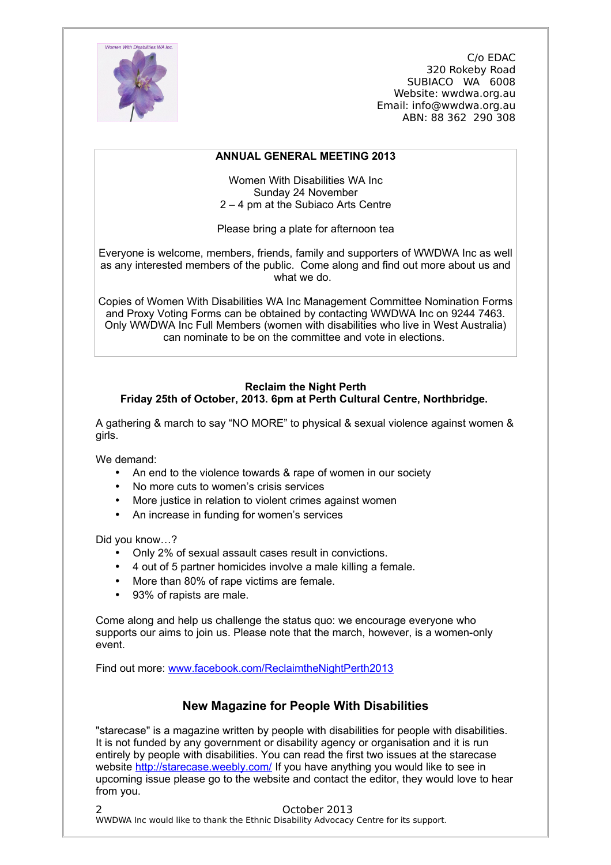

#### **ANNUAL GENERAL MEETING 2013**

Women With Disabilities WA Inc Sunday 24 November 2 – 4 pm at the Subiaco Arts Centre

Please bring a plate for afternoon tea

Everyone is welcome, members, friends, family and supporters of WWDWA Inc as well as any interested members of the public. Come along and find out more about us and what we do.

Copies of Women With Disabilities WA Inc Management Committee Nomination Forms and Proxy Voting Forms can be obtained by contacting WWDWA Inc on 9244 7463. Only WWDWA Inc Full Members (women with disabilities who live in West Australia) can nominate to be on the committee and vote in elections.

#### **Reclaim the Night Perth Friday 25th of October, 2013. 6pm at Perth Cultural Centre, Northbridge.**

A gathering & march to say "NO MORE" to physical & sexual violence against women & girls.

We demand:

- An end to the violence towards & rape of women in our society
- No more cuts to women's crisis services
- More iustice in relation to violent crimes against women
- An increase in funding for women's services

Did you know…?

- Only 2% of sexual assault cases result in convictions.
- 4 out of 5 partner homicides involve a male killing a female.
- More than 80% of rape victims are female.
- 93% of rapists are male.

Come along and help us challenge the status quo: we encourage everyone who supports our aims to join us. Please note that the march, however, is a women-only event.

Find out more: [www.facebook.com/ReclaimtheNightPerth2013](http://www.facebook.com/ReclaimtheNightPerth2013)

## **New Magazine for People With Disabilities**

"starecase" is a magazine written by people with disabilities for people with disabilities. It is not funded by any government or disability agency or organisation and it is run entirely by people with disabilities. You can read the first two issues at the starecase website<http://starecase.weebly.com/>If you have anything you would like to see in upcoming issue please go to the website and contact the editor, they would love to hear from you.

2 October 2013 WWDWA Inc would like to thank the Ethnic Disability Advocacy Centre for its support.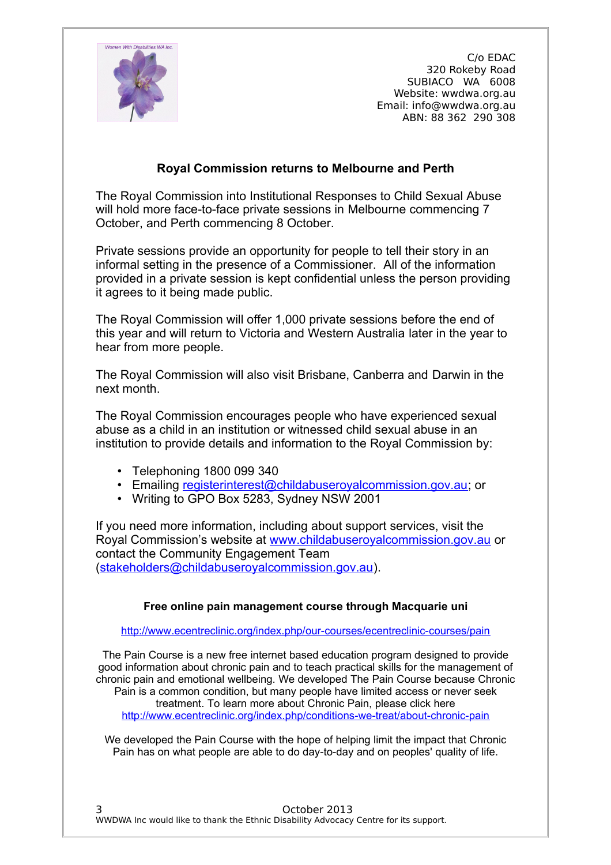

## **Royal Commission returns to Melbourne and Perth**

The Royal Commission into Institutional Responses to Child Sexual Abuse will hold more face-to-face private sessions in Melbourne commencing 7 October, and Perth commencing 8 October.

Private sessions provide an opportunity for people to tell their story in an informal setting in the presence of a Commissioner. All of the information provided in a private session is kept confidential unless the person providing it agrees to it being made public.

The Royal Commission will offer 1,000 private sessions before the end of this year and will return to Victoria and Western Australia later in the year to hear from more people.

The Royal Commission will also visit Brisbane, Canberra and Darwin in the next month.

The Royal Commission encourages people who have experienced sexual abuse as a child in an institution or witnessed child sexual abuse in an institution to provide details and information to the Royal Commission by:

- Telephoning 1800 099 340
- Emailing [registerinterest@childabuseroyalcommission.gov.au;](mailto:registerinterest@childabuseroyalcommission.gov.au) or
- Writing to GPO Box 5283, Sydney NSW 2001

If you need more information, including about support services, visit the Royal Commission's website at [www.childabuseroyalcommission.gov.au](http://www.childabuseroyalcommission.gov.au/) or contact the Community Engagement Team [\(stakeholders@childabuseroyalcommission.gov.au\)](mailto:stakeholders@childabuseroyalcommission.gov.au).

#### **Free online pain management course through Macquarie uni**

<http://www.ecentreclinic.org/index.php/our-courses/ecentreclinic-courses/pain>

The Pain Course is a new free internet based education program designed to provide good information about chronic pain and to teach practical skills for the management of chronic pain and emotional wellbeing. We developed The Pain Course because Chronic Pain is a common condition, but many people have limited access or never seek treatment. To learn more about Chronic Pain, please click here <http://www.ecentreclinic.org/index.php/conditions-we-treat/about-chronic-pain>

We developed the Pain Course with the hope of helping limit the impact that Chronic Pain has on what people are able to do day-to-day and on peoples' quality of life.